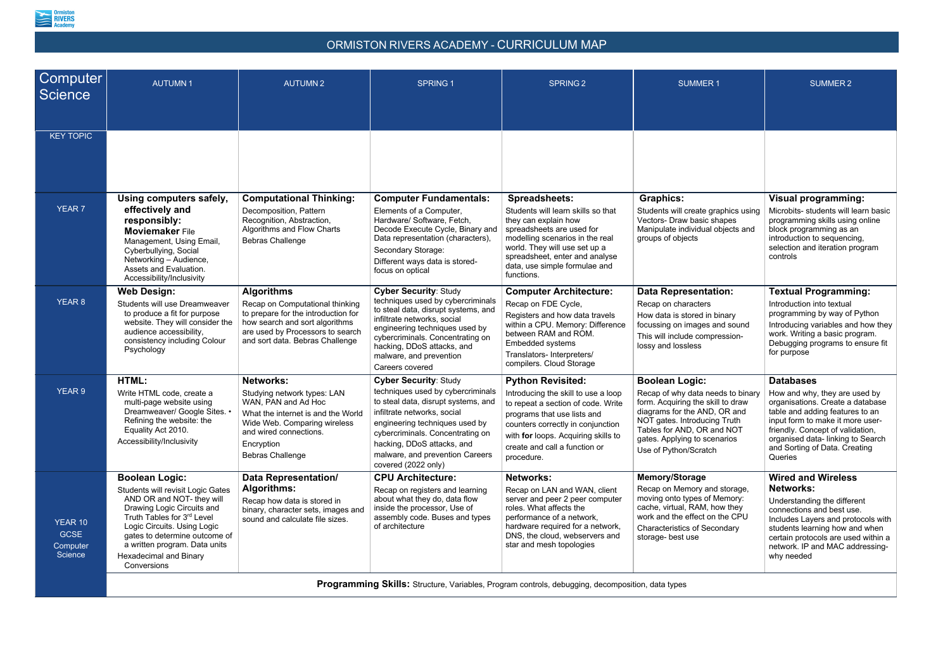

## ORMISTON RIVERS ACADEMY - CURRICULUM MAP

| <b>Computer</b><br>Science                    | <b>AUTUMN1</b>                                                                                                                                                                                                                                                                                       | <b>AUTUMN2</b>                                                                                                                                                                                                  | <b>SPRING 1</b>                                                                                                                                                                                                                                                                                       | <b>SPRING 2</b>                                                                                                                                                                                                                                                      | <b>SUMMER1</b>                                                                                                                                                                                                                                         | <b>SUMMER 2</b>                                                                                                                                                                                                                                                                  |  |  |  |
|-----------------------------------------------|------------------------------------------------------------------------------------------------------------------------------------------------------------------------------------------------------------------------------------------------------------------------------------------------------|-----------------------------------------------------------------------------------------------------------------------------------------------------------------------------------------------------------------|-------------------------------------------------------------------------------------------------------------------------------------------------------------------------------------------------------------------------------------------------------------------------------------------------------|----------------------------------------------------------------------------------------------------------------------------------------------------------------------------------------------------------------------------------------------------------------------|--------------------------------------------------------------------------------------------------------------------------------------------------------------------------------------------------------------------------------------------------------|----------------------------------------------------------------------------------------------------------------------------------------------------------------------------------------------------------------------------------------------------------------------------------|--|--|--|
| <b>KEY TOPIC</b>                              |                                                                                                                                                                                                                                                                                                      |                                                                                                                                                                                                                 |                                                                                                                                                                                                                                                                                                       |                                                                                                                                                                                                                                                                      |                                                                                                                                                                                                                                                        |                                                                                                                                                                                                                                                                                  |  |  |  |
| <b>YEAR 7</b>                                 | Using computers safely,<br>effectively and<br>responsibly:<br><b>Moviemaker File</b><br>Management, Using Email,<br>Cyberbullying, Social<br>Networking - Audience,<br>Assets and Evaluation.<br>Accessibility/Inclusivity                                                                           | <b>Computational Thinking:</b><br>Decomposition, Pattern<br>Recognition, Abstraction,<br>Algorithms and Flow Charts<br><b>Bebras Challenge</b>                                                                  | <b>Computer Fundamentals:</b><br>Elements of a Computer,<br>Hardware/ Software, Fetch,<br>Decode Execute Cycle, Binary and<br>Data representation (characters),<br>Secondary Storage:<br>Different ways data is stored-<br>focus on optical                                                           | <b>Spreadsheets:</b><br>Students will learn skills so that<br>they can explain how<br>spreadsheets are used for<br>modelling scenarios in the real<br>world. They will use set up a<br>spreadsheet, enter and analyse<br>data, use simple formulae and<br>functions. | <b>Graphics:</b><br>Students will create graphics using<br>Vectors- Draw basic shapes<br>Manipulate individual objects and<br>groups of objects                                                                                                        | <b>Visual programming:</b><br>Microbits- students will learn basic<br>programming skills using online<br>block programming as an<br>introduction to sequencing,<br>selection and iteration program<br>controls                                                                   |  |  |  |
| YEAR 8                                        | <b>Web Design:</b><br>Students will use Dreamweaver<br>to produce a fit for purpose<br>website. They will consider the<br>audience accessibility,<br>consistency including Colour<br>Psychology                                                                                                      | <b>Algorithms</b><br>Recap on Computational thinking<br>to prepare for the introduction for<br>how search and sort algorithms<br>are used by Processors to search<br>and sort data. Bebras Challenge            | <b>Cyber Security: Study</b><br>techniques used by cybercriminals<br>to steal data, disrupt systems, and<br>infiltrate networks, social<br>engineering techniques used by<br>cybercriminals. Concentrating on<br>hacking, DDoS attacks, and<br>malware, and prevention<br>Careers covered             | <b>Computer Architecture:</b><br>Recap on FDE Cycle,<br>Registers and how data travels<br>within a CPU. Memory: Difference<br>between RAM and ROM.<br>Embedded systems<br>Translators- Interpreters/<br>compilers. Cloud Storage                                     | <b>Data Representation:</b><br>Recap on characters<br>How data is stored in binary<br>focussing on images and sound<br>This will include compression-<br>lossy and lossless                                                                            | <b>Textual Programming:</b><br>Introduction into textual<br>programming by way of Python<br>Introducing variables and how they<br>work. Writing a basic program.<br>Debugging programs to ensure fit<br>for purpose                                                              |  |  |  |
| YEAR 9                                        | HTML:<br>Write HTML code, create a<br>multi-page website using<br>Dreamweaver/ Google Sites.<br>Refining the website: the<br>Equality Act 2010.<br>Accessibility/Inclusivity                                                                                                                         | <b>Networks:</b><br>Studying network types: LAN<br>WAN, PAN and Ad Hoc<br>What the internet is and the World<br>Wide Web. Comparing wireless<br>and wired connections.<br>Encryption<br><b>Bebras Challenge</b> | <b>Cyber Security: Study</b><br>techniques used by cybercriminals<br>to steal data, disrupt systems, and<br>infiltrate networks, social<br>engineering techniques used by<br>cybercriminals. Concentrating on<br>hacking, DDoS attacks, and<br>malware, and prevention Careers<br>covered (2022 only) | <b>Python Revisited:</b><br>Introducing the skill to use a loop<br>to repeat a section of code. Write<br>programs that use lists and<br>counters correctly in conjunction<br>with for loops. Acquiring skills to<br>create and call a function or<br>procedure.      | <b>Boolean Logic:</b><br>Recap of why data needs to binary<br>form. Acquiring the skill to draw<br>diagrams for the AND, OR and<br>NOT gates. Introducing Truth<br>Tables for AND, OR and NOT<br>gates. Applying to scenarios<br>Use of Python/Scratch | <b>Databases</b><br>How and why, they are used by<br>organisations. Create a database<br>table and adding features to an<br>input form to make it more user-<br>friendly. Concept of validation,<br>organised data-linking to Search<br>and Sorting of Data. Creating<br>Queries |  |  |  |
| YEAR 10<br><b>GCSE</b><br>Computer<br>Science | <b>Boolean Logic:</b><br>Students will revisit Logic Gates<br>AND OR and NOT- they will<br>Drawing Logic Circuits and<br>Truth Tables for 3rd Level<br>Logic Circuits. Using Logic<br>gates to determine outcome of<br>a written program. Data units<br><b>Hexadecimal and Binary</b><br>Conversions | <b>Data Representation/</b><br><b>Algorithms:</b><br>Recap how data is stored in<br>binary, character sets, images and<br>sound and calculate file sizes.                                                       | <b>CPU Architecture:</b><br>Recap on registers and learning<br>about what they do, data flow<br>inside the processor, Use of<br>assembly code. Buses and types<br>of architecture                                                                                                                     | <b>Networks:</b><br>Recap on LAN and WAN, client<br>server and peer 2 peer computer<br>roles. What affects the<br>performance of a network,<br>hardware required for a network,<br>DNS, the cloud, webservers and<br>star and mesh topologies                        | <b>Memory/Storage</b><br>Recap on Memory and storage,<br>moving onto types of Memory:<br>cache, virtual, RAM, how they<br>work and the effect on the CPU<br><b>Characteristics of Secondary</b><br>storage- best use                                   | <b>Wired and Wireless</b><br><b>Networks:</b><br>Understanding the different<br>connections and best use.<br>Includes Layers and protocols with<br>students learning how and when<br>certain protocols are used within a<br>network. IP and MAC addressing-<br>why needed        |  |  |  |
|                                               | <b>Programming Skills:</b> Structure, Variables, Program controls, debugging, decomposition, data types                                                                                                                                                                                              |                                                                                                                                                                                                                 |                                                                                                                                                                                                                                                                                                       |                                                                                                                                                                                                                                                                      |                                                                                                                                                                                                                                                        |                                                                                                                                                                                                                                                                                  |  |  |  |